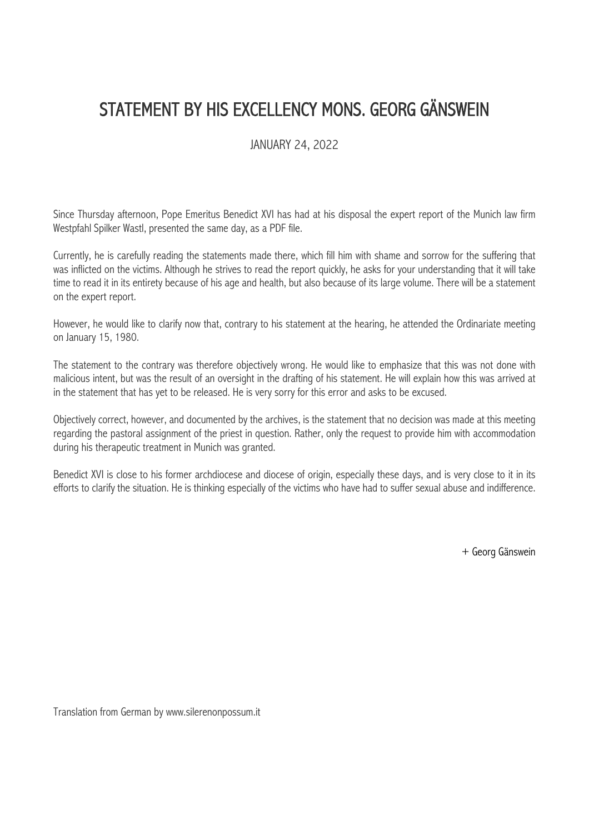## STATEMENT BY HIS EXCELLENCY MONS. GEORG GÄNSWEIN

## JANUARY 24, 2022

Since Thursday afternoon, Pope Emeritus Benedict XVI has had at his disposal the expert report of the Munich law firm Westpfahl Spilker Wastl, presented the same day, as a PDF file.

Currently, he is carefully reading the statements made there, which fill him with shame and sorrow for the suffering that was inflicted on the victims. Although he strives to read the report quickly, he asks for your understanding that it will take time to read it in its entirety because of his age and health, but also because of its large volume. There will be a statement on the expert report.

However, he would like to clarify now that, contrary to his statement at the hearing, he attended the Ordinariate meeting on January 15, 1980.

The statement to the contrary was therefore objectively wrong. He would like to emphasize that this was not done with malicious intent, but was the result of an oversight in the drafting of his statement. He will explain how this was arrived at in the statement that has yet to be released. He is very sorry for this error and asks to be excused.

Objectively correct, however, and documented by the archives, is the statement that no decision was made at this meeting regarding the pastoral assignment of the priest in question. Rather, only the request to provide him with accommodation during his therapeutic treatment in Munich was granted.

Benedict XVI is close to his former archdiocese and diocese of origin, especially these days, and is very close to it in its efforts to clarify the situation. He is thinking especially of the victims who have had to suffer sexual abuse and indifference.

+ Georg Gänswein

Translation from German by www.silerenonpossum.it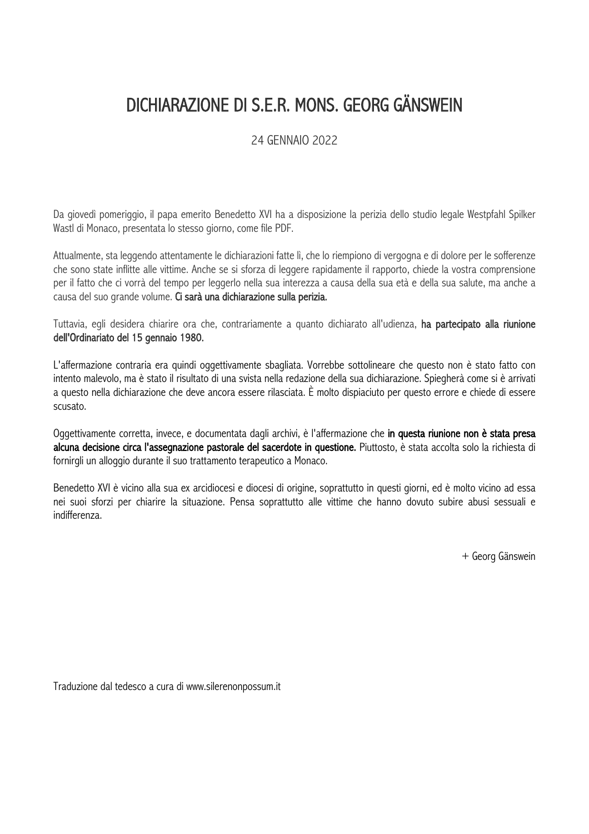## DICHIARAZIONE DI S.E.R. MONS. GEORG GÄNSWEIN

24 GENNAIO 2022

Da giovedì pomeriggio, il papa emerito Benedetto XVI ha a disposizione la perizia dello studio legale Westpfahl Spilker Wastl di Monaco, presentata lo stesso giorno, come file PDF.

Attualmente, sta leggendo attentamente le dichiarazioni fatte lì, che lo riempiono di vergogna e di dolore per le sofferenze che sono state inflitte alle vittime. Anche se si sforza di leggere rapidamente il rapporto, chiede la vostra comprensione per il fatto che ci vorrà del tempo per leggerlo nella sua interezza a causa della sua età e della sua salute, ma anche a causa del suo grande volume. Ci sarà una dichiarazione sulla perizia.

Tuttavia, egli desidera chiarire ora che, contrariamente a quanto dichiarato all'udienza, ha partecipato alla riunione dell'Ordinariato del 15 gennaio 1980.

L'affermazione contraria era quindi oggettivamente sbagliata. Vorrebbe sottolineare che questo non è stato fatto con intento malevolo, ma è stato il risultato di una svista nella redazione della sua dichiarazione. Spiegherà come si è arrivati a questo nella dichiarazione che deve ancora essere rilasciata. È molto dispiaciuto per questo errore e chiede di essere scusato.

Oggettivamente corretta, invece, e documentata dagli archivi, è l'affermazione che in questa riunione non è stata presa alcuna decisione circa l'assegnazione pastorale del sacerdote in questione. Piuttosto, è stata accolta solo la richiesta di fornirgli un alloggio durante il suo trattamento terapeutico a Monaco.

Benedetto XVI è vicino alla sua ex arcidiocesi e diocesi di origine, soprattutto in questi giorni, ed è molto vicino ad essa nei suoi sforzi per chiarire la situazione. Pensa soprattutto alle vittime che hanno dovuto subire abusi sessuali e indifferenza.

+ Georg Gänswein

Traduzione dal tedesco a cura di www.silerenonpossum.it